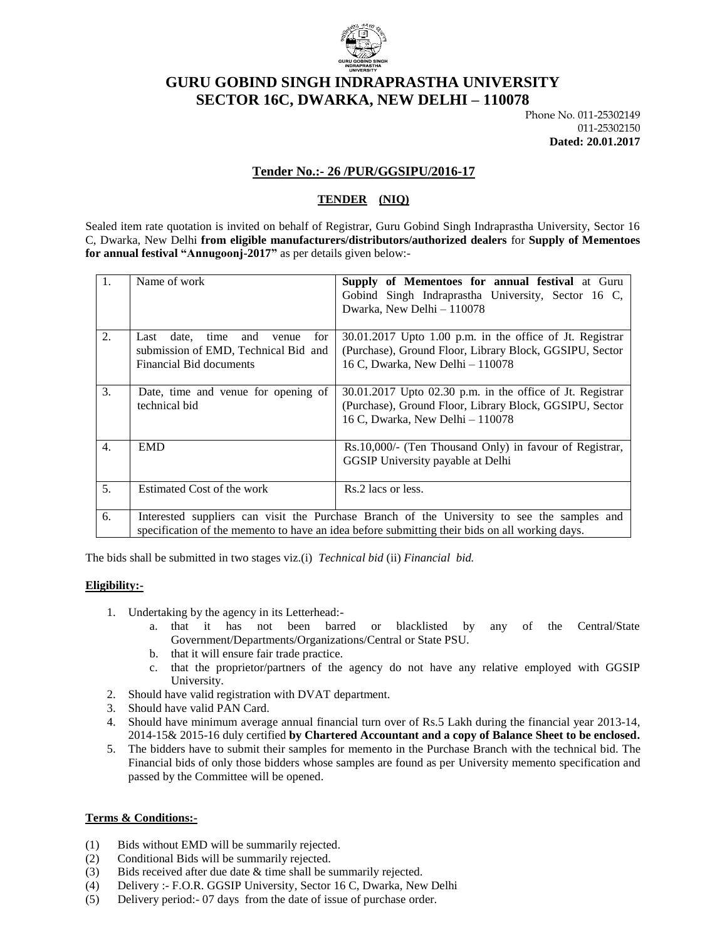

# **GURU GOBIND SINGH INDRAPRASTHA UNIVERSITY SECTOR 16C, DWARKA, NEW DELHI – 110078**

Phone No. 011-25302149 011-25302150 **Dated: 20.01.2017**

### **Tender No.:- 26 /PUR/GGSIPU/2016-17**

## **TENDER (NIQ)**

Sealed item rate quotation is invited on behalf of Registrar, Guru Gobind Singh Indraprastha University, Sector 16 C, Dwarka, New Delhi **from eligible manufacturers/distributors/authorized dealers** for **Supply of Mementoes for annual festival "Annugoonj-2017"** as per details given below:-

| $\overline{1}$ . | Name of work                                                                                                                                                                                  | Supply of Mementoes for annual festival at Guru<br>Gobind Singh Indraprastha University, Sector 16 C,<br>Dwarka, New Delhi - 110078                      |  |
|------------------|-----------------------------------------------------------------------------------------------------------------------------------------------------------------------------------------------|----------------------------------------------------------------------------------------------------------------------------------------------------------|--|
| 2.               | date.<br>time<br>and<br>Last<br>for<br>venue<br>submission of EMD, Technical Bid and<br>Financial Bid documents                                                                               | 30.01.2017 Upto 1.00 p.m. in the office of Jt. Registrar<br>(Purchase), Ground Floor, Library Block, GGSIPU, Sector<br>16 C, Dwarka, New Delhi - 110078  |  |
| 3.               | Date, time and venue for opening of<br>technical bid                                                                                                                                          | 30.01.2017 Upto 02.30 p.m. in the office of Jt. Registrar<br>(Purchase), Ground Floor, Library Block, GGSIPU, Sector<br>16 C, Dwarka, New Delhi - 110078 |  |
| $\overline{4}$ . | <b>EMD</b>                                                                                                                                                                                    | Rs.10,000/- (Ten Thousand Only) in favour of Registrar,<br>GGSIP University payable at Delhi                                                             |  |
| 5.               | Estimated Cost of the work                                                                                                                                                                    | Rs.2 lacs or less.                                                                                                                                       |  |
| 6.               | Interested suppliers can visit the Purchase Branch of the University to see the samples and<br>specification of the memento to have an idea before submitting their bids on all working days. |                                                                                                                                                          |  |

The bids shall be submitted in two stages viz.(i) *Technical bid* (ii) *Financial bid.*

#### **Eligibility:-**

- 1. Undertaking by the agency in its Letterhead:
	- a. that it has not been barred or blacklisted by any of the Central/State Government/Departments/Organizations/Central or State PSU.
	- b. that it will ensure fair trade practice.
	- c. that the proprietor/partners of the agency do not have any relative employed with GGSIP University.
- 2. Should have valid registration with DVAT department.
- 3. Should have valid PAN Card.
- 4. Should have minimum average annual financial turn over of Rs.5 Lakh during the financial year 2013-14, 2014-15& 2015-16 duly certified **by Chartered Accountant and a copy of Balance Sheet to be enclosed.**
- 5. The bidders have to submit their samples for memento in the Purchase Branch with the technical bid. The Financial bids of only those bidders whose samples are found as per University memento specification and passed by the Committee will be opened.

#### **Terms & Conditions:-**

- (1) Bids without EMD will be summarily rejected.
- (2) Conditional Bids will be summarily rejected.
- (3) Bids received after due date & time shall be summarily rejected.
- (4) Delivery :- F.O.R. GGSIP University, Sector 16 C, Dwarka, New Delhi
- (5) Delivery period:- 07 days from the date of issue of purchase order.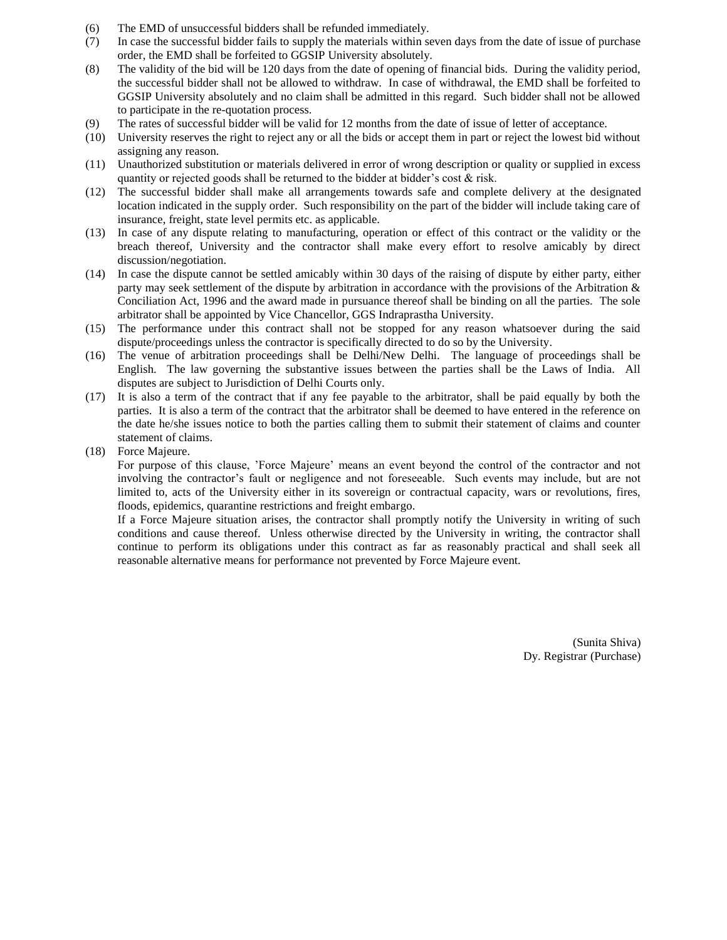- (6) The EMD of unsuccessful bidders shall be refunded immediately.
- (7) In case the successful bidder fails to supply the materials within seven days from the date of issue of purchase order, the EMD shall be forfeited to GGSIP University absolutely.
- (8) The validity of the bid will be 120 days from the date of opening of financial bids. During the validity period, the successful bidder shall not be allowed to withdraw. In case of withdrawal, the EMD shall be forfeited to GGSIP University absolutely and no claim shall be admitted in this regard. Such bidder shall not be allowed to participate in the re-quotation process.
- (9) The rates of successful bidder will be valid for 12 months from the date of issue of letter of acceptance.
- (10) University reserves the right to reject any or all the bids or accept them in part or reject the lowest bid without assigning any reason.
- (11) Unauthorized substitution or materials delivered in error of wrong description or quality or supplied in excess quantity or rejected goods shall be returned to the bidder at bidder's cost & risk.
- (12) The successful bidder shall make all arrangements towards safe and complete delivery at the designated location indicated in the supply order. Such responsibility on the part of the bidder will include taking care of insurance, freight, state level permits etc. as applicable.
- (13) In case of any dispute relating to manufacturing, operation or effect of this contract or the validity or the breach thereof, University and the contractor shall make every effort to resolve amicably by direct discussion/negotiation.
- (14) In case the dispute cannot be settled amicably within 30 days of the raising of dispute by either party, either party may seek settlement of the dispute by arbitration in accordance with the provisions of the Arbitration & Conciliation Act, 1996 and the award made in pursuance thereof shall be binding on all the parties. The sole arbitrator shall be appointed by Vice Chancellor, GGS Indraprastha University.
- (15) The performance under this contract shall not be stopped for any reason whatsoever during the said dispute/proceedings unless the contractor is specifically directed to do so by the University.
- (16) The venue of arbitration proceedings shall be Delhi/New Delhi. The language of proceedings shall be English. The law governing the substantive issues between the parties shall be the Laws of India. All disputes are subject to Jurisdiction of Delhi Courts only.
- (17) It is also a term of the contract that if any fee payable to the arbitrator, shall be paid equally by both the parties. It is also a term of the contract that the arbitrator shall be deemed to have entered in the reference on the date he/she issues notice to both the parties calling them to submit their statement of claims and counter statement of claims.
- (18) Force Majeure.

For purpose of this clause, 'Force Majeure' means an event beyond the control of the contractor and not involving the contractor's fault or negligence and not foreseeable. Such events may include, but are not limited to, acts of the University either in its sovereign or contractual capacity, wars or revolutions, fires, floods, epidemics, quarantine restrictions and freight embargo.

If a Force Majeure situation arises, the contractor shall promptly notify the University in writing of such conditions and cause thereof. Unless otherwise directed by the University in writing, the contractor shall continue to perform its obligations under this contract as far as reasonably practical and shall seek all reasonable alternative means for performance not prevented by Force Majeure event.

> (Sunita Shiva) Dy. Registrar (Purchase)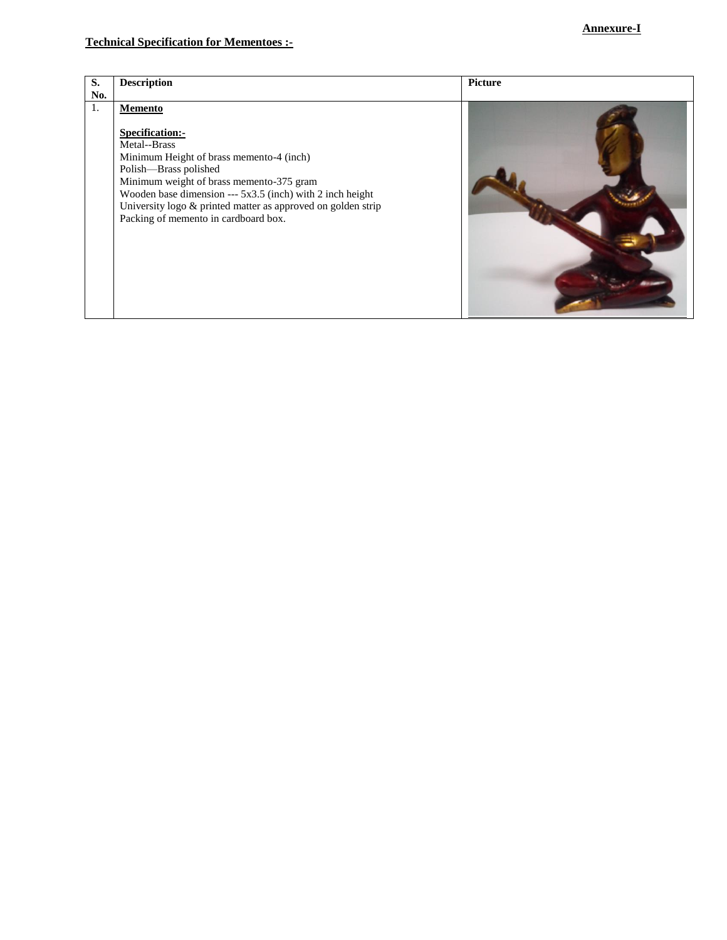| S.  | <b>Description</b>                                           | <b>Picture</b> |
|-----|--------------------------------------------------------------|----------------|
| No. |                                                              |                |
| 1.  | Memento                                                      |                |
|     |                                                              |                |
|     | Specification:-                                              |                |
|     | Metal--Brass                                                 |                |
|     | Minimum Height of brass memento-4 (inch)                     |                |
|     | Polish-Brass polished                                        |                |
|     | Minimum weight of brass memento-375 gram                     |                |
|     | Wooden base dimension --- 5x3.5 (inch) with 2 inch height    |                |
|     | University logo & printed matter as approved on golden strip |                |
|     | Packing of memento in cardboard box.                         |                |
|     |                                                              |                |
|     |                                                              |                |
|     |                                                              |                |
|     |                                                              |                |
|     |                                                              |                |
|     |                                                              |                |
|     |                                                              |                |
|     |                                                              |                |